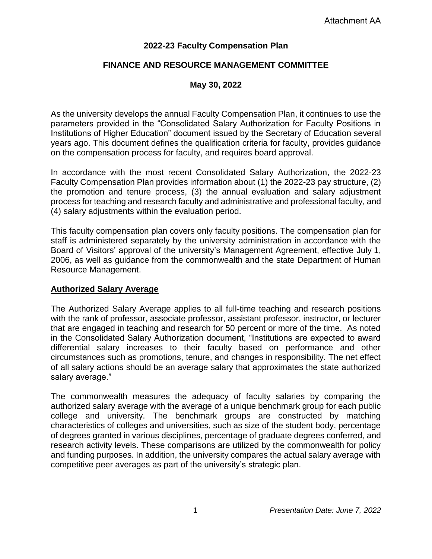### **2022-23 Faculty Compensation Plan**

## **FINANCE AND RESOURCE MANAGEMENT COMMITTEE**

#### **May 30, 2022**

As the university develops the annual Faculty Compensation Plan, it continues to use the parameters provided in the "Consolidated Salary Authorization for Faculty Positions in Institutions of Higher Education" document issued by the Secretary of Education several years ago. This document defines the qualification criteria for faculty, provides guidance on the compensation process for faculty, and requires board approval.

In accordance with the most recent Consolidated Salary Authorization, the 2022-23 Faculty Compensation Plan provides information about (1) the 2022-23 pay structure, (2) the promotion and tenure process, (3) the annual evaluation and salary adjustment process for teaching and research faculty and administrative and professional faculty, and (4) salary adjustments within the evaluation period.

This faculty compensation plan covers only faculty positions. The compensation plan for staff is administered separately by the university administration in accordance with the Board of Visitors' approval of the university's Management Agreement, effective July 1, 2006, as well as guidance from the commonwealth and the state Department of Human Resource Management.

#### **Authorized Salary Average**

The Authorized Salary Average applies to all full-time teaching and research positions with the rank of professor, associate professor, assistant professor, instructor, or lecturer that are engaged in teaching and research for 50 percent or more of the time. As noted in the Consolidated Salary Authorization document, "Institutions are expected to award differential salary increases to their faculty based on performance and other circumstances such as promotions, tenure, and changes in responsibility. The net effect of all salary actions should be an average salary that approximates the state authorized salary average."

The commonwealth measures the adequacy of faculty salaries by comparing the authorized salary average with the average of a unique benchmark group for each public college and university. The benchmark groups are constructed by matching characteristics of colleges and universities, such as size of the student body, percentage of degrees granted in various disciplines, percentage of graduate degrees conferred, and research activity levels. These comparisons are utilized by the commonwealth for policy and funding purposes. In addition, the university compares the actual salary average with competitive peer averages as part of the university's strategic plan.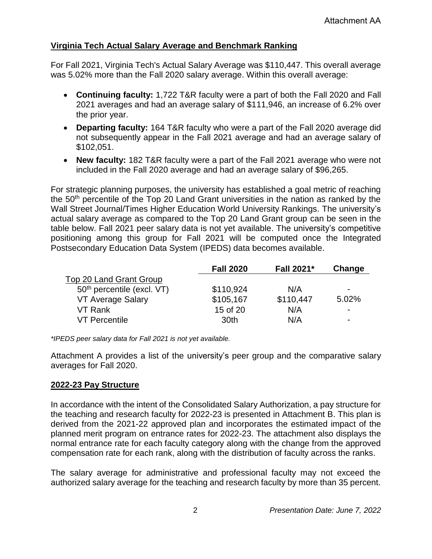## **Virginia Tech Actual Salary Average and Benchmark Ranking**

For Fall 2021, Virginia Tech's Actual Salary Average was \$110,447. This overall average was 5.02% more than the Fall 2020 salary average. Within this overall average:

- **Continuing faculty:** 1,722 T&R faculty were a part of both the Fall 2020 and Fall 2021 averages and had an average salary of \$111,946, an increase of 6.2% over the prior year.
- **Departing faculty:** 164 T&R faculty who were a part of the Fall 2020 average did not subsequently appear in the Fall 2021 average and had an average salary of \$102,051.
- **New faculty:** 182 T&R faculty were a part of the Fall 2021 average who were not included in the Fall 2020 average and had an average salary of \$96,265.

For strategic planning purposes, the university has established a goal metric of reaching the 50<sup>th</sup> percentile of the Top 20 Land Grant universities in the nation as ranked by the Wall Street Journal/Times Higher Education World University Rankings. The university's actual salary average as compared to the Top 20 Land Grant group can be seen in the table below. Fall 2021 peer salary data is not yet available. The university's competitive positioning among this group for Fall 2021 will be computed once the Integrated Postsecondary Education Data System (IPEDS) data becomes available.

|                              | <b>Fall 2020</b> | Fall 2021* | Change                   |
|------------------------------|------------------|------------|--------------------------|
| Top 20 Land Grant Group      |                  |            |                          |
| $50th$ percentile (excl. VT) | \$110,924        | N/A        | -                        |
| VT Average Salary            | \$105,167        | \$110,447  | 5.02%                    |
| VT Rank                      | 15 of 20         | N/A        | $\overline{\phantom{0}}$ |
| <b>VT Percentile</b>         | 30th             | N/A        | -                        |

*\*IPEDS peer salary data for Fall 2021 is not yet available.*

Attachment A provides a list of the university's peer group and the comparative salary averages for Fall 2020.

#### **2022-23 Pay Structure**

In accordance with the intent of the Consolidated Salary Authorization, a pay structure for the teaching and research faculty for 2022-23 is presented in Attachment B. This plan is derived from the 2021-22 approved plan and incorporates the estimated impact of the planned merit program on entrance rates for 2022-23. The attachment also displays the normal entrance rate for each faculty category along with the change from the approved compensation rate for each rank, along with the distribution of faculty across the ranks.

The salary average for administrative and professional faculty may not exceed the authorized salary average for the teaching and research faculty by more than 35 percent.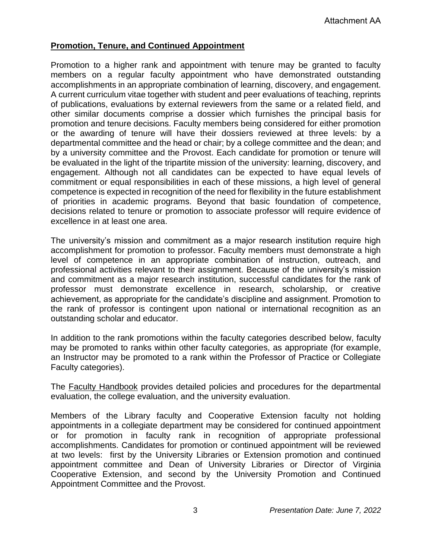## **Promotion, Tenure, and Continued Appointment**

Promotion to a higher rank and appointment with tenure may be granted to faculty members on a regular faculty appointment who have demonstrated outstanding accomplishments in an appropriate combination of learning, discovery, and engagement. A current curriculum vitae together with student and peer evaluations of teaching, reprints of publications, evaluations by external reviewers from the same or a related field, and other similar documents comprise a dossier which furnishes the principal basis for promotion and tenure decisions. Faculty members being considered for either promotion or the awarding of tenure will have their dossiers reviewed at three levels: by a departmental committee and the head or chair; by a college committee and the dean; and by a university committee and the Provost. Each candidate for promotion or tenure will be evaluated in the light of the tripartite mission of the university: learning, discovery, and engagement. Although not all candidates can be expected to have equal levels of commitment or equal responsibilities in each of these missions, a high level of general competence is expected in recognition of the need for flexibility in the future establishment of priorities in academic programs. Beyond that basic foundation of competence, decisions related to tenure or promotion to associate professor will require evidence of excellence in at least one area.

The university's mission and commitment as a major research institution require high accomplishment for promotion to professor. Faculty members must demonstrate a high level of competence in an appropriate combination of instruction, outreach, and professional activities relevant to their assignment. Because of the university's mission and commitment as a major research institution, successful candidates for the rank of professor must demonstrate excellence in research, scholarship, or creative achievement, as appropriate for the candidate's discipline and assignment. Promotion to the rank of professor is contingent upon national or international recognition as an outstanding scholar and educator.

In addition to the rank promotions within the faculty categories described below, faculty may be promoted to ranks within other faculty categories, as appropriate (for example, an Instructor may be promoted to a rank within the Professor of Practice or Collegiate Faculty categories).

The Faculty Handbook provides detailed policies and procedures for the departmental evaluation, the college evaluation, and the university evaluation.

Members of the Library faculty and Cooperative Extension faculty not holding appointments in a collegiate department may be considered for continued appointment or for promotion in faculty rank in recognition of appropriate professional accomplishments. Candidates for promotion or continued appointment will be reviewed at two levels: first by the University Libraries or Extension promotion and continued appointment committee and Dean of University Libraries or Director of Virginia Cooperative Extension, and second by the University Promotion and Continued Appointment Committee and the Provost.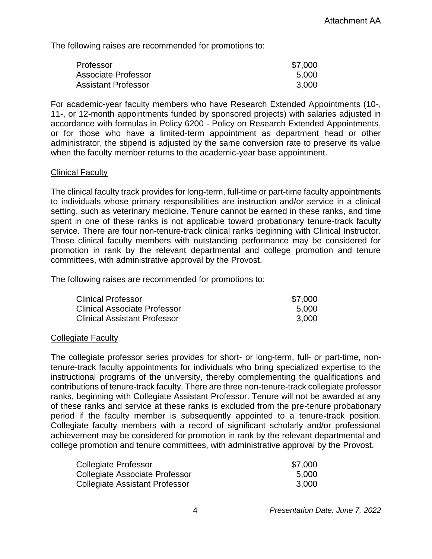The following raises are recommended for promotions to:

| Professor                  | \$7,000 |
|----------------------------|---------|
| Associate Professor        | 5,000   |
| <b>Assistant Professor</b> | 3,000   |

For academic-year faculty members who have Research Extended Appointments (10-, 11-, or 12-month appointments funded by sponsored projects) with salaries adjusted in accordance with formulas in Policy 6200 - Policy on Research Extended Appointments, or for those who have a limited-term appointment as department head or other administrator, the stipend is adjusted by the same conversion rate to preserve its value when the faculty member returns to the academic-year base appointment.

#### Clinical Faculty

The clinical faculty track provides for long-term, full-time or part-time faculty appointments to individuals whose primary responsibilities are instruction and/or service in a clinical setting, such as veterinary medicine. Tenure cannot be earned in these ranks, and time spent in one of these ranks is not applicable toward probationary tenure-track faculty service. There are four non-tenure-track clinical ranks beginning with Clinical Instructor. Those clinical faculty members with outstanding performance may be considered for promotion in rank by the relevant departmental and college promotion and tenure committees, with administrative approval by the Provost.

The following raises are recommended for promotions to:

| Clinical Professor           | \$7,000 |
|------------------------------|---------|
| Clinical Associate Professor | 5.000   |
| Clinical Assistant Professor | 3.000   |

#### Collegiate Faculty

The collegiate professor series provides for short- or long-term, full- or part-time, nontenure-track faculty appointments for individuals who bring specialized expertise to the instructional programs of the university, thereby complementing the qualifications and contributions of tenure-track faculty. There are three non-tenure-track collegiate professor ranks, beginning with Collegiate Assistant Professor. Tenure will not be awarded at any of these ranks and service at these ranks is excluded from the pre-tenure probationary period if the faculty member is subsequently appointed to a tenure-track position. Collegiate faculty members with a record of significant scholarly and/or professional achievement may be considered for promotion in rank by the relevant departmental and college promotion and tenure committees, with administrative approval by the Provost.

| <b>Collegiate Professor</b>           | \$7,000 |
|---------------------------------------|---------|
| Collegiate Associate Professor        | 5,000   |
| <b>Collegiate Assistant Professor</b> | 3.000   |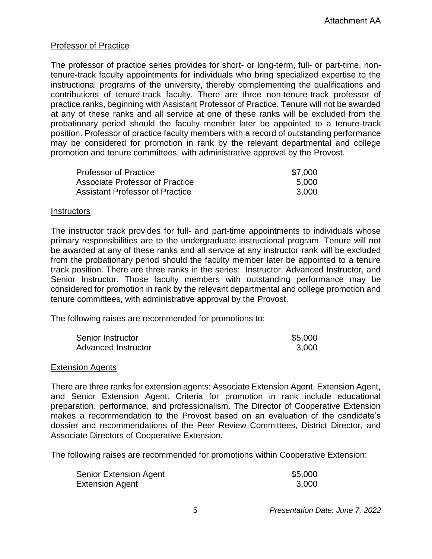#### Professor of Practice

The professor of practice series provides for short- or long-term, full- or part-time, nontenure-track faculty appointments for individuals who bring specialized expertise to the instructional programs of the university, thereby complementing the qualifications and contributions of tenure-track faculty. There are three non-tenure-track professor of practice ranks, beginning with Assistant Professor of Practice. Tenure will not be awarded at any of these ranks and all service at one of these ranks will be excluded from the probationary period should the faculty member later be appointed to a tenure-track position. Professor of practice faculty members with a record of outstanding performance may be considered for promotion in rank by the relevant departmental and college promotion and tenure committees, with administrative approval by the Provost.

| <b>Professor of Practice</b>           | \$7,000 |
|----------------------------------------|---------|
| Associate Professor of Practice        | 5.000   |
| <b>Assistant Professor of Practice</b> | 3.000   |

#### Instructors

The instructor track provides for full- and part-time appointments to individuals whose primary responsibilities are to the undergraduate instructional program. Tenure will not be awarded at any of these ranks and all service at any instructor rank will be excluded from the probationary period should the faculty member later be appointed to a tenure track position. There are three ranks in the series: Instructor, Advanced Instructor, and Senior Instructor. Those faculty members with outstanding performance may be considered for promotion in rank by the relevant departmental and college promotion and tenure committees, with administrative approval by the Provost.

The following raises are recommended for promotions to:

| Senior Instructor   | \$5,000 |
|---------------------|---------|
| Advanced Instructor | 3.000   |

#### Extension Agents

There are three ranks for extension agents: Associate Extension Agent, Extension Agent, and Senior Extension Agent. Criteria for promotion in rank include educational preparation, performance, and professionalism. The Director of Cooperative Extension makes a recommendation to the Provost based on an evaluation of the candidate's dossier and recommendations of the Peer Review Committees, District Director, and Associate Directors of Cooperative Extension.

The following raises are recommended for promotions within Cooperative Extension:

| <b>Senior Extension Agent</b> | \$5,000 |
|-------------------------------|---------|
| <b>Extension Agent</b>        | 3,000   |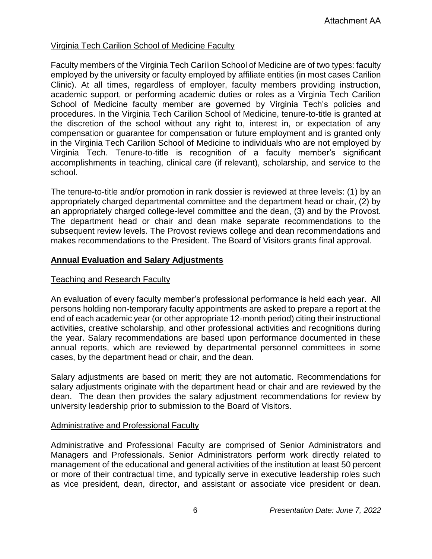## Virginia Tech Carilion School of Medicine Faculty

Faculty members of the Virginia Tech Carilion School of Medicine are of two types: faculty employed by the university or faculty employed by affiliate entities (in most cases Carilion Clinic). At all times, regardless of employer, faculty members providing instruction, academic support, or performing academic duties or roles as a Virginia Tech Carilion School of Medicine faculty member are governed by Virginia Tech's policies and procedures. In the Virginia Tech Carilion School of Medicine, tenure-to-title is granted at the discretion of the school without any right to, interest in, or expectation of any compensation or guarantee for compensation or future employment and is granted only in the Virginia Tech Carilion School of Medicine to individuals who are not employed by Virginia Tech. Tenure-to-title is recognition of a faculty member's significant accomplishments in teaching, clinical care (if relevant), scholarship, and service to the school.

The tenure-to-title and/or promotion in rank dossier is reviewed at three levels: (1) by an appropriately charged departmental committee and the department head or chair, (2) by an appropriately charged college-level committee and the dean, (3) and by the Provost. The department head or chair and dean make separate recommendations to the subsequent review levels. The Provost reviews college and dean recommendations and makes recommendations to the President. The Board of Visitors grants final approval.

#### **Annual Evaluation and Salary Adjustments**

#### Teaching and Research Faculty

An evaluation of every faculty member's professional performance is held each year. All persons holding non-temporary faculty appointments are asked to prepare a report at the end of each academic year (or other appropriate 12-month period) citing their instructional activities, creative scholarship, and other professional activities and recognitions during the year. Salary recommendations are based upon performance documented in these annual reports, which are reviewed by departmental personnel committees in some cases, by the department head or chair, and the dean.

Salary adjustments are based on merit; they are not automatic. Recommendations for salary adjustments originate with the department head or chair and are reviewed by the dean. The dean then provides the salary adjustment recommendations for review by university leadership prior to submission to the Board of Visitors.

#### Administrative and Professional Faculty

Administrative and Professional Faculty are comprised of Senior Administrators and Managers and Professionals. Senior Administrators perform work directly related to management of the educational and general activities of the institution at least 50 percent or more of their contractual time, and typically serve in executive leadership roles such as vice president, dean, director, and assistant or associate vice president or dean.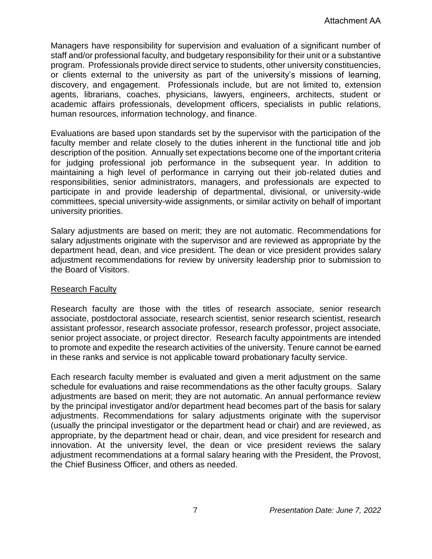Managers have responsibility for supervision and evaluation of a significant number of staff and/or professional faculty, and budgetary responsibility for their unit or a substantive program. Professionals provide direct service to students, other university constituencies, or clients external to the university as part of the university's missions of learning, discovery, and engagement. Professionals include, but are not limited to, extension agents, librarians, coaches, physicians, lawyers, engineers, architects, student or academic affairs professionals, development officers, specialists in public relations, human resources, information technology, and finance.

Evaluations are based upon standards set by the supervisor with the participation of the faculty member and relate closely to the duties inherent in the functional title and job description of the position. Annually set expectations become one of the important criteria for judging professional job performance in the subsequent year. In addition to maintaining a high level of performance in carrying out their job-related duties and responsibilities, senior administrators, managers, and professionals are expected to participate in and provide leadership of departmental, divisional, or university-wide committees, special university-wide assignments, or similar activity on behalf of important university priorities.

Salary adjustments are based on merit; they are not automatic. Recommendations for salary adjustments originate with the supervisor and are reviewed as appropriate by the department head, dean, and vice president. The dean or vice president provides salary adjustment recommendations for review by university leadership prior to submission to the Board of Visitors.

#### Research Faculty

Research faculty are those with the titles of research associate, senior research associate, postdoctoral associate, research scientist, senior research scientist, research assistant professor, research associate professor, research professor, project associate, senior project associate, or project director. Research faculty appointments are intended to promote and expedite the research activities of the university. Tenure cannot be earned in these ranks and service is not applicable toward probationary faculty service.

Each research faculty member is evaluated and given a merit adjustment on the same schedule for evaluations and raise recommendations as the other faculty groups. Salary adjustments are based on merit; they are not automatic. An annual performance review by the principal investigator and/or department head becomes part of the basis for salary adjustments. Recommendations for salary adjustments originate with the supervisor (usually the principal investigator or the department head or chair) and are reviewed, as appropriate, by the department head or chair, dean, and vice president for research and innovation. At the university level, the dean or vice president reviews the salary adjustment recommendations at a formal salary hearing with the President, the Provost, the Chief Business Officer, and others as needed.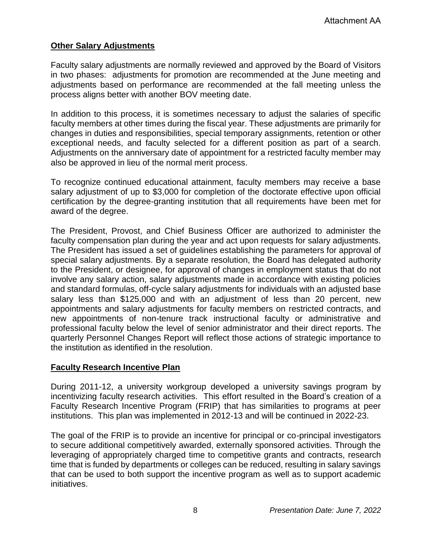## **Other Salary Adjustments**

Faculty salary adjustments are normally reviewed and approved by the Board of Visitors in two phases: adjustments for promotion are recommended at the June meeting and adjustments based on performance are recommended at the fall meeting unless the process aligns better with another BOV meeting date.

In addition to this process, it is sometimes necessary to adjust the salaries of specific faculty members at other times during the fiscal year. These adjustments are primarily for changes in duties and responsibilities, special temporary assignments, retention or other exceptional needs, and faculty selected for a different position as part of a search. Adjustments on the anniversary date of appointment for a restricted faculty member may also be approved in lieu of the normal merit process.

To recognize continued educational attainment, faculty members may receive a base salary adjustment of up to \$3,000 for completion of the doctorate effective upon official certification by the degree-granting institution that all requirements have been met for award of the degree.

The President, Provost, and Chief Business Officer are authorized to administer the faculty compensation plan during the year and act upon requests for salary adjustments. The President has issued a set of guidelines establishing the parameters for approval of special salary adjustments. By a separate resolution, the Board has delegated authority to the President, or designee, for approval of changes in employment status that do not involve any salary action, salary adjustments made in accordance with existing policies and standard formulas, off-cycle salary adjustments for individuals with an adjusted base salary less than \$125,000 and with an adjustment of less than 20 percent, new appointments and salary adjustments for faculty members on restricted contracts, and new appointments of non-tenure track instructional faculty or administrative and professional faculty below the level of senior administrator and their direct reports. The quarterly Personnel Changes Report will reflect those actions of strategic importance to the institution as identified in the resolution.

#### **Faculty Research Incentive Plan**

During 2011-12, a university workgroup developed a university savings program by incentivizing faculty research activities. This effort resulted in the Board's creation of a Faculty Research Incentive Program (FRIP) that has similarities to programs at peer institutions. This plan was implemented in 2012-13 and will be continued in 2022-23.

The goal of the FRIP is to provide an incentive for principal or co-principal investigators to secure additional competitively awarded, externally sponsored activities. Through the leveraging of appropriately charged time to competitive grants and contracts, research time that is funded by departments or colleges can be reduced, resulting in salary savings that can be used to both support the incentive program as well as to support academic initiatives.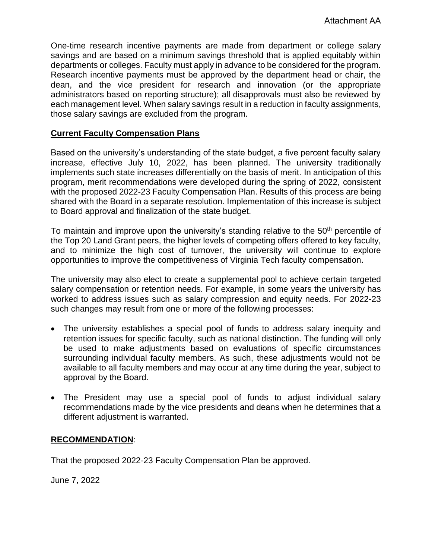One-time research incentive payments are made from department or college salary savings and are based on a minimum savings threshold that is applied equitably within departments or colleges. Faculty must apply in advance to be considered for the program. Research incentive payments must be approved by the department head or chair, the dean, and the vice president for research and innovation (or the appropriate administrators based on reporting structure); all disapprovals must also be reviewed by each management level. When salary savings result in a reduction in faculty assignments, those salary savings are excluded from the program.

## **Current Faculty Compensation Plans**

Based on the university's understanding of the state budget, a five percent faculty salary increase, effective July 10, 2022, has been planned. The university traditionally implements such state increases differentially on the basis of merit. In anticipation of this program, merit recommendations were developed during the spring of 2022, consistent with the proposed 2022-23 Faculty Compensation Plan. Results of this process are being shared with the Board in a separate resolution. Implementation of this increase is subject to Board approval and finalization of the state budget.

To maintain and improve upon the university's standing relative to the 50<sup>th</sup> percentile of the Top 20 Land Grant peers, the higher levels of competing offers offered to key faculty, and to minimize the high cost of turnover, the university will continue to explore opportunities to improve the competitiveness of Virginia Tech faculty compensation.

The university may also elect to create a supplemental pool to achieve certain targeted salary compensation or retention needs. For example, in some years the university has worked to address issues such as salary compression and equity needs. For 2022-23 such changes may result from one or more of the following processes:

- The university establishes a special pool of funds to address salary inequity and retention issues for specific faculty, such as national distinction. The funding will only be used to make adjustments based on evaluations of specific circumstances surrounding individual faculty members. As such, these adjustments would not be available to all faculty members and may occur at any time during the year, subject to approval by the Board.
- The President may use a special pool of funds to adjust individual salary recommendations made by the vice presidents and deans when he determines that a different adjustment is warranted.

#### **RECOMMENDATION**:

That the proposed 2022-23 Faculty Compensation Plan be approved.

June 7, 2022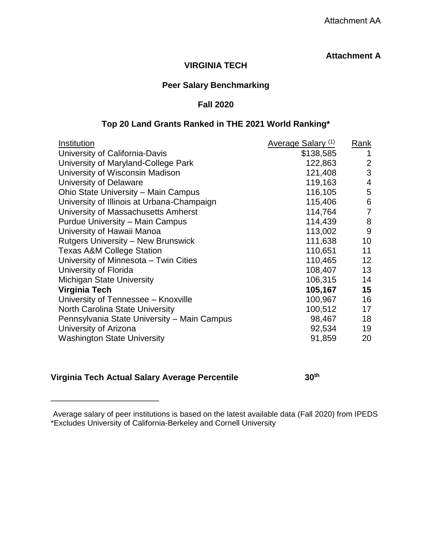## **Attachment A**

## **VIRGINIA TECH**

#### **Peer Salary Benchmarking**

#### **Fall 2020**

#### **Top 20 Land Grants Ranked in THE 2021 World Ranking\***

| Institution                                 | Average Salary (1) | Rank           |
|---------------------------------------------|--------------------|----------------|
| University of California-Davis              | \$138,585          | 1              |
| University of Maryland-College Park         | 122,863            | 2              |
| University of Wisconsin Madison             | 121,408            | 3              |
| University of Delaware                      | 119,163            | $\overline{4}$ |
| Ohio State University - Main Campus         | 116,105            | 5              |
| University of Illinois at Urbana-Champaign  | 115,406            | 6              |
| University of Massachusetts Amherst         | 114,764            | $\overline{7}$ |
| <b>Purdue University – Main Campus</b>      | 114,439            | 8              |
| University of Hawaii Manoa                  | 113,002            | 9              |
| <b>Rutgers University – New Brunswick</b>   | 111,638            | 10             |
| <b>Texas A&amp;M College Station</b>        | 110,651            | 11             |
| University of Minnesota - Twin Cities       | 110,465            | 12             |
| University of Florida                       | 108,407            | 13             |
| <b>Michigan State University</b>            | 106,315            | 14             |
| Virginia Tech                               | 105,167            | 15             |
| University of Tennessee - Knoxville         | 100,967            | 16             |
| <b>North Carolina State University</b>      | 100,512            | 17             |
| Pennsylvania State University – Main Campus | 98,467             | 18             |
| University of Arizona                       | 92,534             | 19             |
| <b>Washington State University</b>          | 91,859             | 20             |

#### **Virginia Tech Actual Salary Average Percentile 30th**

\_\_\_\_\_\_\_\_\_\_\_\_\_\_\_\_\_\_\_\_\_\_\_

Average salary of peer institutions is based on the latest available data (Fall 2020) from IPEDS \*Excludes University of California-Berkeley and Cornell University